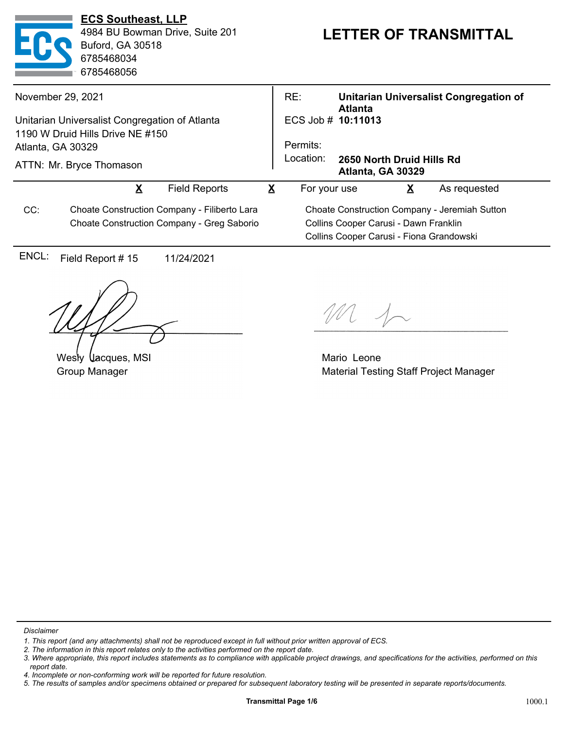| <b>ECS Southeast, LLP</b><br>4984 BU Bowman Drive, Suite 201<br><b>Buford, GA 30518</b><br>6785468034<br>6785468056 |                                                                                            |                      |                         | <b>LETTER OF TRANSMITTAL</b>                  |                                                |   |                                        |  |
|---------------------------------------------------------------------------------------------------------------------|--------------------------------------------------------------------------------------------|----------------------|-------------------------|-----------------------------------------------|------------------------------------------------|---|----------------------------------------|--|
|                                                                                                                     | November 29, 2021                                                                          |                      |                         | RE:                                           | <b>Atlanta</b>                                 |   | Unitarian Universalist Congregation of |  |
| Unitarian Universalist Congregation of Atlanta                                                                      |                                                                                            |                      |                         | ECS Job # 10:11013                            |                                                |   |                                        |  |
| 1190 W Druid Hills Drive NE #150                                                                                    |                                                                                            |                      |                         |                                               |                                                |   |                                        |  |
| Atlanta, GA 30329<br>ATTN: Mr. Bryce Thomason                                                                       |                                                                                            |                      |                         | Permits:                                      | 2650 North Druid Hills Rd<br>Atlanta, GA 30329 |   |                                        |  |
|                                                                                                                     |                                                                                            |                      |                         | Location:                                     |                                                |   |                                        |  |
|                                                                                                                     | $\overline{\mathbf{X}}$                                                                    | <b>Field Reports</b> | $\overline{\mathbf{X}}$ | For your use                                  |                                                | X | As requested                           |  |
| CC:                                                                                                                 | Choate Construction Company - Filiberto Lara<br>Choate Construction Company - Greg Saborio |                      |                         | Choate Construction Company - Jeremiah Sutton |                                                |   |                                        |  |
|                                                                                                                     |                                                                                            |                      |                         | Collins Cooper Carusi - Dawn Franklin         |                                                |   |                                        |  |
|                                                                                                                     |                                                                                            |                      |                         | Collins Cooper Carusi - Fiona Grandowski      |                                                |   |                                        |  |
| ENCL:                                                                                                               | Field Report #15                                                                           | 11/24/2021           |                         |                                               |                                                |   |                                        |  |
|                                                                                                                     |                                                                                            |                      |                         |                                               |                                                |   |                                        |  |

Wesly Uacques, MSI Group Manager

 $\gamma$ 

Mario Leone Material Testing Staff Project Manager

*Disclaimer*

*<sup>1.</sup> This report (and any attachments) shall not be reproduced except in full without prior written approval of ECS.*

*<sup>2.</sup> The information in this report relates only to the activities performed on the report date.*

*<sup>3.</sup> Where appropriate, this report includes statements as to compliance with applicable project drawings, and specifications for the activities, performed on this report date.*

*<sup>4.</sup> Incomplete or non-conforming work will be reported for future resolution.*

*<sup>5.</sup> The results of samples and/or specimens obtained or prepared for subsequent laboratory testing will be presented in separate reports/documents.*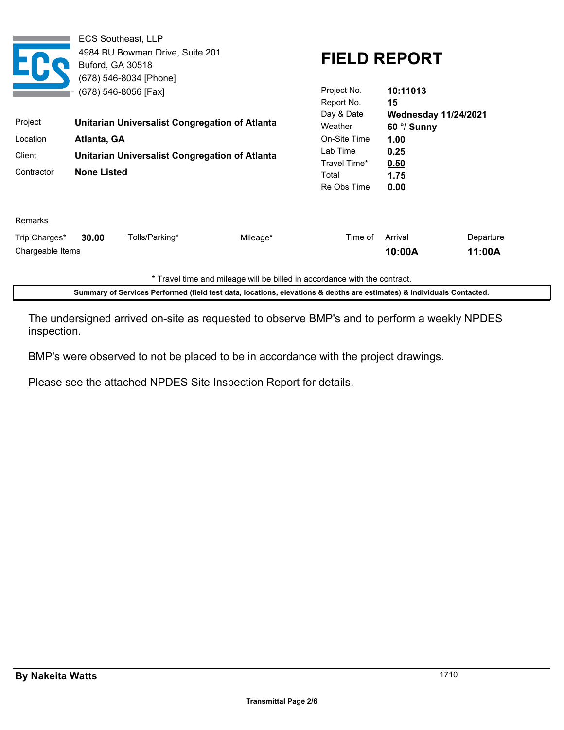Chargeable Items Arrival Departure **10:00A 11:00A** Trip Charges\* **30.00** Tolls/Parking\* Mileage\* Mileage\* Time of Remarks Re Obs Time **0.00** Total **1.75** Travel Time\* **0.50** Lab Time **0.25** On-Site Time **1.00** Contractor **None Listed** Client **Unitarian Universalist Congregation of Atlanta** Location **Atlanta, GA** Weather **60 °/ Sunny** Project **10:11013 15** Project No. **Unitarian Universalist Congregation of Atlanta** Report No. Day & Date **Wednesday 11/24/2021 FIELD REPORT** ECS Southeast, LLP 4984 BU Bowman Drive, Suite 201 Buford, GA 30518 (678) 546-8034 [Phone] (678) 546-8056 [Fax]

\* Travel time and mileage will be billed in accordance with the contract.

**Summary of Services Performed (field test data, locations, elevations & depths are estimates) & Individuals Contacted.**

The undersigned arrived on-site as requested to observe BMP's and to perform a weekly NPDES inspection.

BMP's were observed to not be placed to be in accordance with the project drawings.

Please see the attached NPDES Site Inspection Report for details.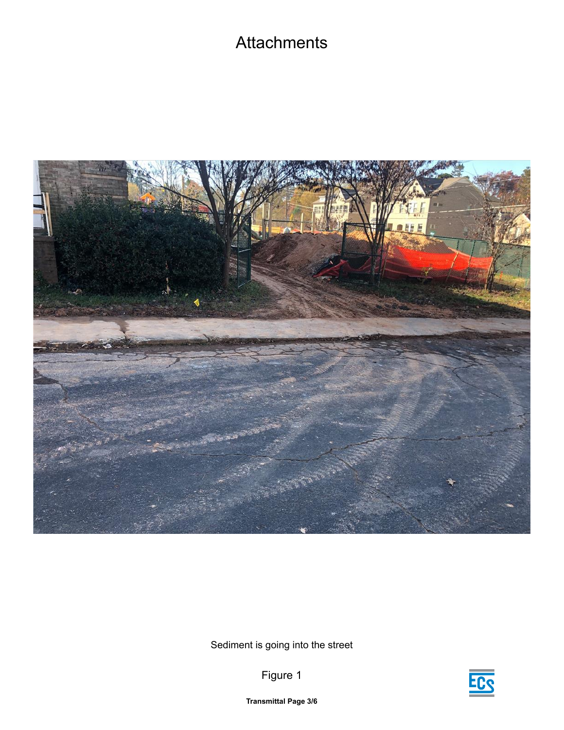## **Attachments**



Sediment is going into the street

Figure 1



**Transmittal Page 3/6**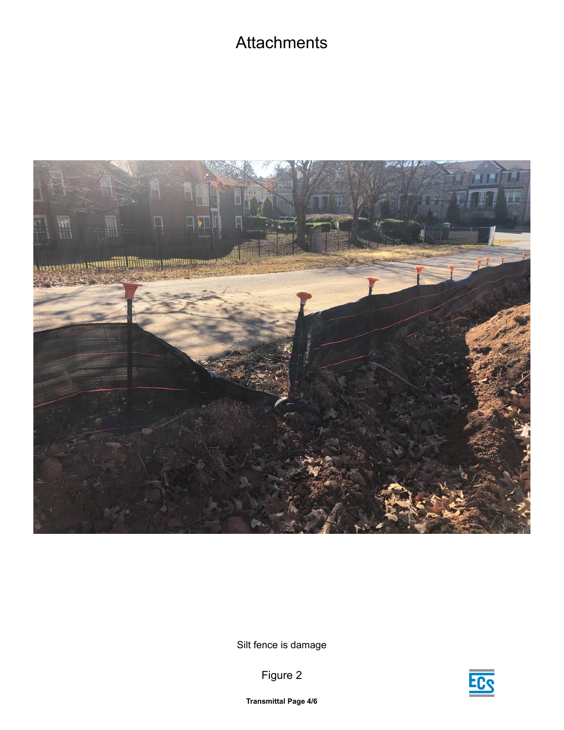## **Attachments**



Silt fence is damage



Figure 2

**Transmittal Page 4/6**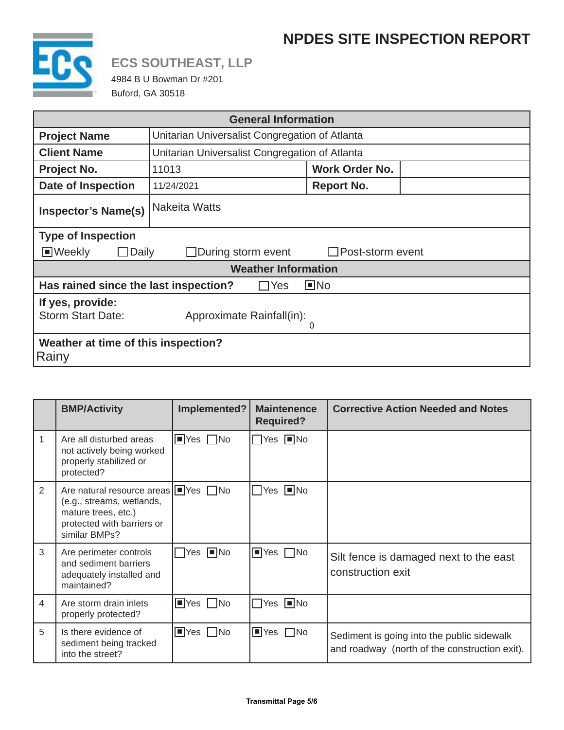## **NPDES SITE INSPECTION REPORT**



# **ECS SOUTHEAST, LLP**

4984 B U Bowman Dr #201 Buford, GA 30518

| <b>General Information</b>                                                            |                                                |                       |  |  |  |  |  |
|---------------------------------------------------------------------------------------|------------------------------------------------|-----------------------|--|--|--|--|--|
| <b>Project Name</b>                                                                   | Unitarian Universalist Congregation of Atlanta |                       |  |  |  |  |  |
| <b>Client Name</b>                                                                    | Unitarian Universalist Congregation of Atlanta |                       |  |  |  |  |  |
| Project No.                                                                           | 11013                                          | <b>Work Order No.</b> |  |  |  |  |  |
| <b>Date of Inspection</b>                                                             | 11/24/2021                                     | <b>Report No.</b>     |  |  |  |  |  |
| <b>Inspector's Name(s)</b>                                                            | <b>Nakeita Watts</b>                           |                       |  |  |  |  |  |
| <b>Type of Inspection</b>                                                             |                                                |                       |  |  |  |  |  |
| ■Weekly<br>$\Box$ During storm event<br>$\Box$ Post-storm event<br>Daily              |                                                |                       |  |  |  |  |  |
| <b>Weather Information</b>                                                            |                                                |                       |  |  |  |  |  |
| Has rained since the last inspection?<br>$\square$ No<br>Yes                          |                                                |                       |  |  |  |  |  |
| If yes, provide:<br><b>Storm Start Date:</b><br>Approximate Rainfall(in):<br>$\Omega$ |                                                |                       |  |  |  |  |  |
| Weather at time of this inspection?<br>Rainy                                          |                                                |                       |  |  |  |  |  |

|                | <b>BMP/Activity</b>                                                                                                                                | Implemented?                         | <b>Maintenence</b><br><b>Required?</b> | <b>Corrective Action Needed and Notes</b>                                                   |
|----------------|----------------------------------------------------------------------------------------------------------------------------------------------------|--------------------------------------|----------------------------------------|---------------------------------------------------------------------------------------------|
| 1              | Are all disturbed areas<br>not actively being worked<br>properly stabilized or<br>protected?                                                       | $\blacksquare$ Yes $\blacksquare$ No | $\Box$ Yes $\Box$ No                   |                                                                                             |
| 2              | Are natural resource areas $\Box$ Yes $\Box$ No<br>(e.g., streams, wetlands,<br>mature trees, etc.)<br>protected with barriers or<br>similar BMPs? |                                      | $\Box$ Yes $\Box$ No                   |                                                                                             |
| 3              | Are perimeter controls<br>and sediment barriers<br>adequately installed and<br>maintained?                                                         | $\Box$ Yes $\Box$ No                 | $\blacksquare$ Yes $\blacksquare$ No   | Silt fence is damaged next to the east<br>construction exit                                 |
| $\overline{4}$ | Are storm drain inlets<br>properly protected?                                                                                                      | $\Box$ Yes $\Box$ No                 | $\Box$ Yes $\Box$ No                   |                                                                                             |
| 5              | Is there evidence of<br>sediment being tracked<br>into the street?                                                                                 | $\blacksquare$ Yes $\blacksquare$ No | $\blacksquare$ Yes $\blacksquare$ No   | Sediment is going into the public sidewalk<br>and roadway (north of the construction exit). |